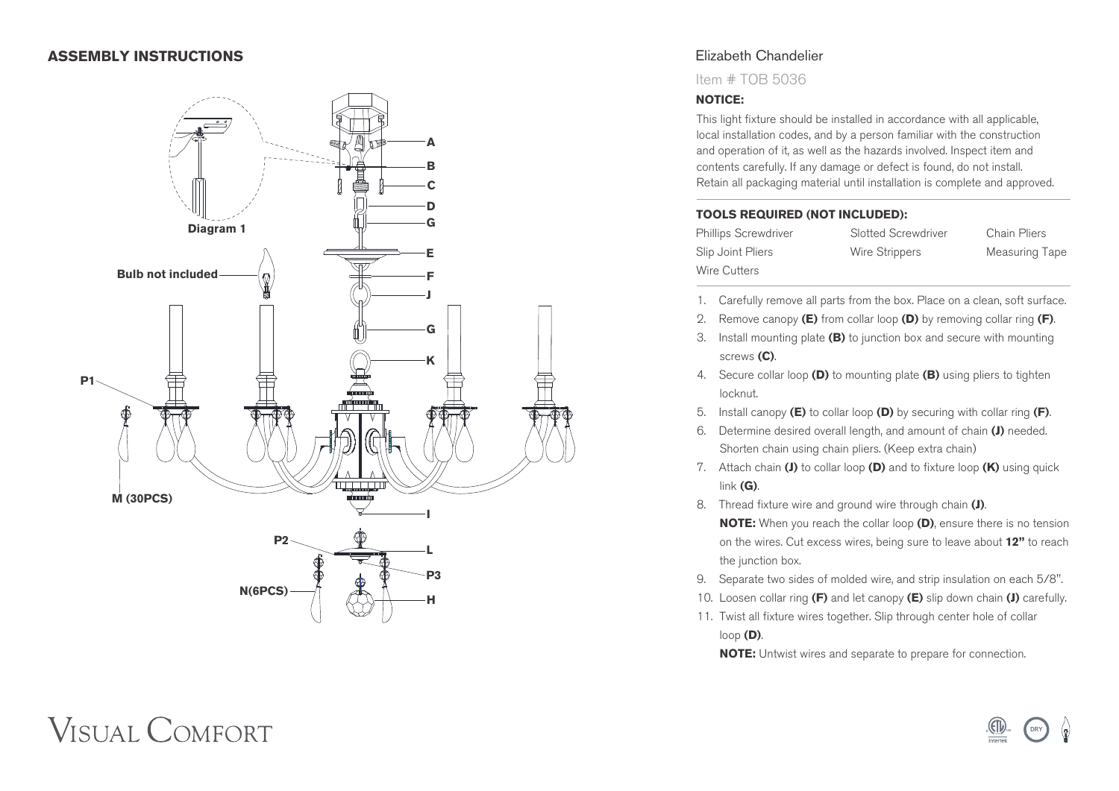### **ASSEMBLY INSTRUCTIONS**



# Elizabeth Chandelier

Item # TOB 5036

#### **NOTICE:**

This light fixture should be installed in accordance with all applicable, local installation codes, and by a person familiar with the construction and operation of it, as well as the hazards involved. Inspect item and contents carefully. If any damage or defect is found, do not install. Retain all packaging material until installation is complete and approved.

#### **TOOLS REQUIRED (NOT INCLUDED):**

Slip Joint Pliers **Wire Strippers** Measuring Tape Wire Cutters

Phillips Screwdriver Slotted Screwdriver Chain Pliers

- 1. Carefully remove all parts from the box. Place on a clean, soft surface.
- 2. Remove canopy **(E)** from collar loop **(D)** by removing collar ring **(F)** .
- 3. Install mounting plate **(B)** to junction box and secure with mounting screws **(C)** .
- 4. Secure collar loop **(D)** to mounting plate **(B)** using pliers to tighten locknut.
- 5. Install canopy **(E)** to collar loop **(D)** by securing with collar ring **(F)** .
- 6. Determine desired overall length, and amount of chain **(J)** needed. Shorten chain using chain pliers. (Keep extra chain)
- 7. Attach chain **(J)** to collar loop **(D)** and to fixture loop **(K)** using quick link **(G)** .
- 8. Thread fixture wire and ground wire through chain **(J)** .  **NOTE:** When you reach the collar loop **(D)**, ensure there is no tension on the wires. Cut excess wires, being sure to leave about **12"** to reach the junction box.
- 9. Separate two sides of molded wire, and strip insulation on each 5/8".
- 10. Loosen collar ring **(F)** and let canopy **(E)** slip down chain **(J)** carefully.
- 11. Twist all fixture wires together. Slip through center hole of collar loop **(D)** .

 **NOTE:** Untwist wires and separate to prepare for connection.